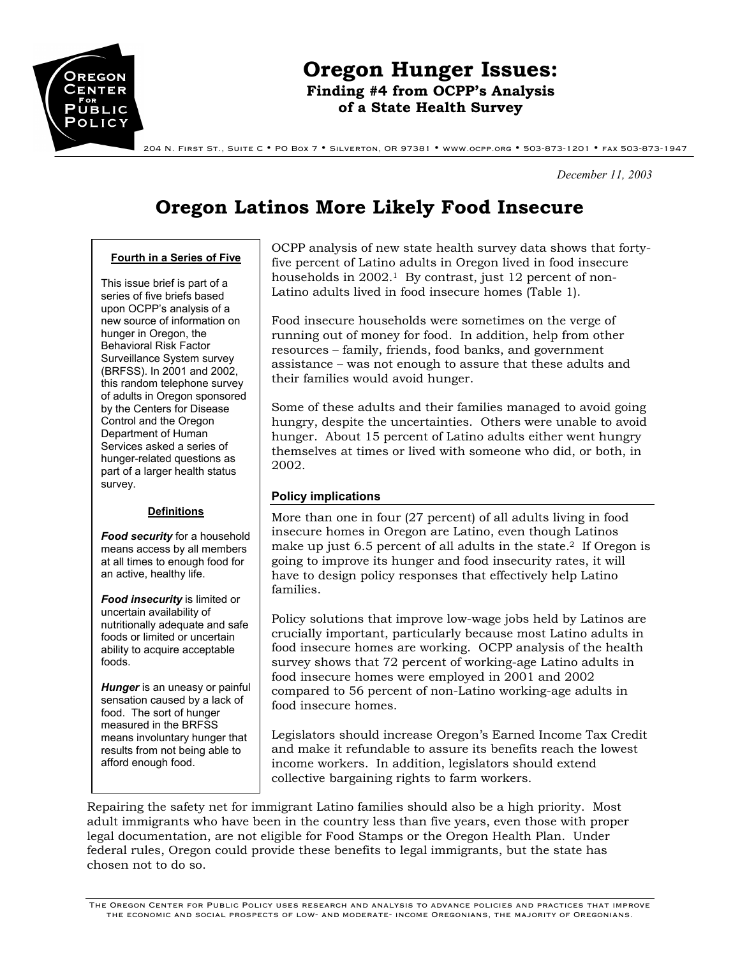

# **Oregon Hunger Issues: Finding #4 from OCPP's Analysis of a State Health Survey**

204 N. First St., Suite C • PO Box 7 • Silverton, OR 97381 • www.ocpp.org • 503-873-1201 • fax 503-873-1947

*December 11, 2003* 

# **Oregon Latinos More Likely Food Insecure**

#### **Fourth in a Series of Five**

This issue brief is part of a series of five briefs based upon OCPP's analysis of a new source of information on hunger in Oregon, the Behavioral Risk Factor Surveillance System survey (BRFSS). In 2001 and 2002, this random telephone survey of adults in Oregon sponsored by the Centers for Disease Control and the Oregon Department of Human Services asked a series of hunger-related questions as part of a larger health status survey.

#### **Definitions**

*Food security* for a household means access by all members at all times to enough food for an active, healthy life.

*Food insecurity* is limited or uncertain availability of nutritionally adequate and safe foods or limited or uncertain ability to acquire acceptable foods.

*Hunger* is an uneasy or painful sensation caused by a lack of food. The sort of hunger measured in the BRFSS means involuntary hunger that results from not being able to afford enough food.

OCPP analysis of new state health survey data shows that fortyfive percent of Latino adults in Oregon lived in food insecure households in 2002.<sup>1</sup> By contrast, just 12 percent of non-Latino adults lived in food insecure homes (Table 1).

Food insecure households were sometimes on the verge of running out of money for food. In addition, help from other resources – family, friends, food banks, and government assistance – was not enough to assure that these adults and their families would avoid hunger.

Some of these adults and their families managed to avoid going hungry, despite the uncertainties. Others were unable to avoid hunger. About 15 percent of Latino adults either went hungry themselves at times or lived with someone who did, or both, in 2002.

### **Policy implications**

More than one in four (27 percent) of all adults living in food insecure homes in Oregon are Latino, even though Latinos make up just 6.5 percent of all adults in the state.<sup>2</sup> If Oregon is going to improve its hunger and food insecurity rates, it will have to design policy responses that effectively help Latino families.

Policy solutions that improve low-wage jobs held by Latinos are crucially important, particularly because most Latino adults in food insecure homes are working. OCPP analysis of the health survey shows that 72 percent of working-age Latino adults in food insecure homes were employed in 2001 and 2002 compared to 56 percent of non-Latino working-age adults in food insecure homes.

Legislators should increase Oregon's Earned Income Tax Credit and make it refundable to assure its benefits reach the lowest income workers. In addition, legislators should extend collective bargaining rights to farm workers.

Repairing the safety net for immigrant Latino families should also be a high priority. Most adult immigrants who have been in the country less than five years, even those with proper legal documentation, are not eligible for Food Stamps or the Oregon Health Plan. Under federal rules, Oregon could provide these benefits to legal immigrants, but the state has chosen not to do so.

The Oregon Center for Public Policy uses research and analysis to advance policies and practices that improve the economic and social prospects of low- and moderate- income Oregonians, the majority of Oregonians.